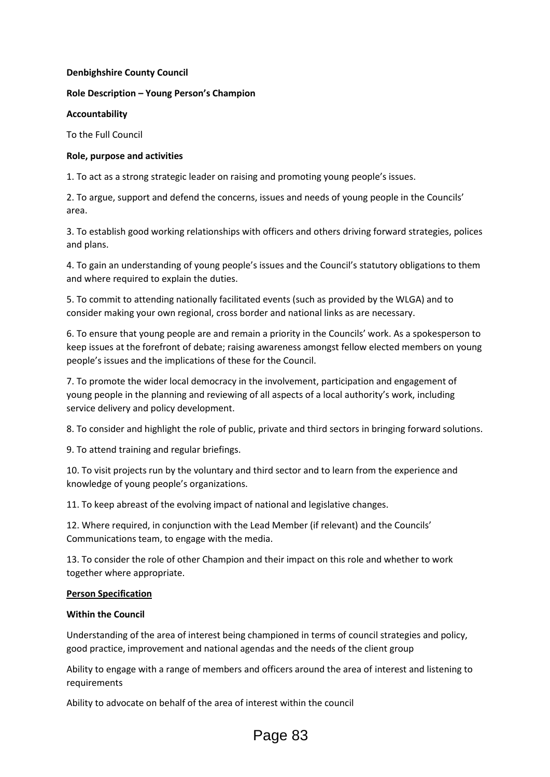#### **Denbighshire County Council**

## **Role Description – Young Person's Champion**

#### **Accountability**

To the Full Council

## **Role, purpose and activities**

1. To act as a strong strategic leader on raising and promoting young people's issues.

2. To argue, support and defend the concerns, issues and needs of young people in the Councils' area.

3. To establish good working relationships with officers and others driving forward strategies, polices and plans.

4. To gain an understanding of young people's issues and the Council's statutory obligations to them and where required to explain the duties.

5. To commit to attending nationally facilitated events (such as provided by the WLGA) and to consider making your own regional, cross border and national links as are necessary.

6. To ensure that young people are and remain a priority in the Councils' work. As a spokesperson to keep issues at the forefront of debate; raising awareness amongst fellow elected members on young people's issues and the implications of these for the Council.

7. To promote the wider local democracy in the involvement, participation and engagement of young people in the planning and reviewing of all aspects of a local authority's work, including service delivery and policy development.

8. To consider and highlight the role of public, private and third sectors in bringing forward solutions.

9. To attend training and regular briefings.

10. To visit projects run by the voluntary and third sector and to learn from the experience and knowledge of young people's organizations.

11. To keep abreast of the evolving impact of national and legislative changes.

12. Where required, in conjunction with the Lead Member (if relevant) and the Councils' Communications team, to engage with the media.

13. To consider the role of other Champion and their impact on this role and whether to work together where appropriate.

#### **Person Specification**

# **Within the Council**

Understanding of the area of interest being championed in terms of council strategies and policy, good practice, improvement and national agendas and the needs of the client group

Ability to engage with a range of members and officers around the area of interest and listening to requirements

Ability to advocate on behalf of the area of interest within the council

# Page 83